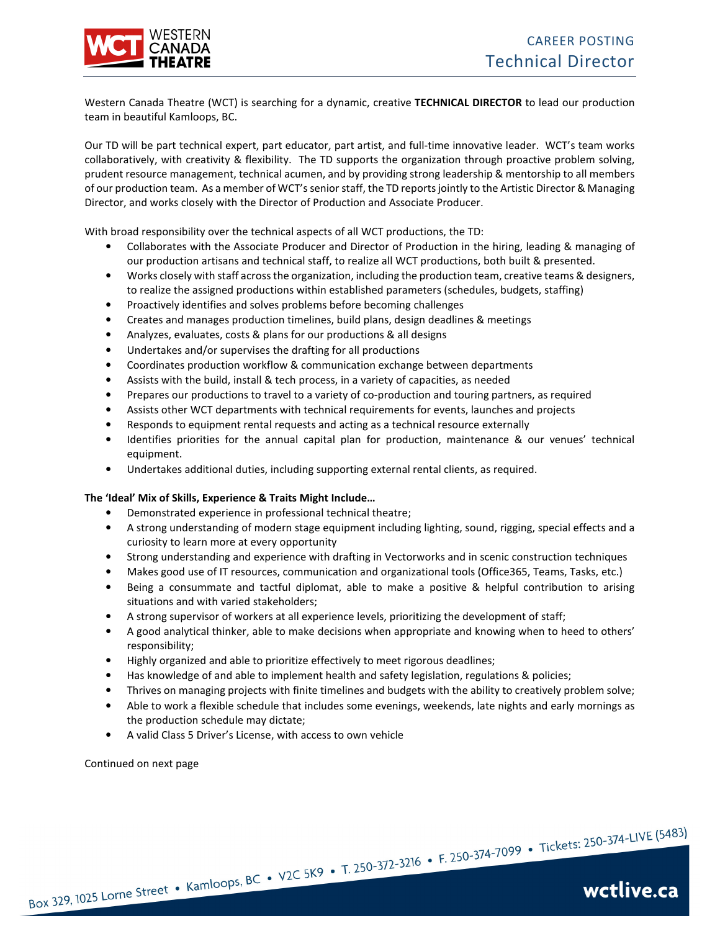

Western Canada Theatre (WCT) is searching for a dynamic, creative **TECHNICAL DIRECTOR** to lead our production team in beautiful Kamloops, BC.

Our TD will be part technical expert, part educator, part artist, and full-time innovative leader. WCT's team works collaboratively, with creativity & flexibility. The TD supports the organization through proactive problem solving, prudent resource management, technical acumen, and by providing strong leadership & mentorship to all members of our production team. As a member of WCT's senior staff, the TD reports jointly to the Artistic Director & Managing Director, and works closely with the Director of Production and Associate Producer.

With broad responsibility over the technical aspects of all WCT productions, the TD:

- Collaborates with the Associate Producer and Director of Production in the hiring, leading & managing of our production artisans and technical staff, to realize all WCT productions, both built & presented.
- Works closely with staff across the organization, including the production team, creative teams & designers, to realize the assigned productions within established parameters (schedules, budgets, staffing)
- Proactively identifies and solves problems before becoming challenges
- Creates and manages production timelines, build plans, design deadlines & meetings
- Analyzes, evaluates, costs & plans for our productions & all designs
- Undertakes and/or supervises the drafting for all productions
- Coordinates production workflow & communication exchange between departments
- Assists with the build, install & tech process, in a variety of capacities, as needed
- Prepares our productions to travel to a variety of co-production and touring partners, as required
- Assists other WCT departments with technical requirements for events, launches and projects
- Responds to equipment rental requests and acting as a technical resource externally
- Identifies priorities for the annual capital plan for production, maintenance & our venues' technical equipment.
- Undertakes additional duties, including supporting external rental clients, as required.

### **The 'Ideal' Mix of Skills, Experience & Traits Might Include…**

- Demonstrated experience in professional technical theatre;
- A strong understanding of modern stage equipment including lighting, sound, rigging, special effects and a curiosity to learn more at every opportunity
- Strong understanding and experience with drafting in Vectorworks and in scenic construction techniques
- Makes good use of IT resources, communication and organizational tools (Office365, Teams, Tasks, etc.)
- Being a consummate and tactful diplomat, able to make a positive & helpful contribution to arising situations and with varied stakeholders;
- A strong supervisor of workers at all experience levels, prioritizing the development of staff;
- A good analytical thinker, able to make decisions when appropriate and knowing when to heed to others' responsibility;
- Highly organized and able to prioritize effectively to meet rigorous deadlines;
- Has knowledge of and able to implement health and safety legislation, regulations & policies;
- Thrives on managing projects with finite timelines and budgets with the ability to creatively problem solve;
- Able to work a flexible schedule that includes some evenings, weekends, late nights and early mornings as the production schedule may dictate;
- A valid Class 5 Driver's License, with access to own vehicle

Continued on next page